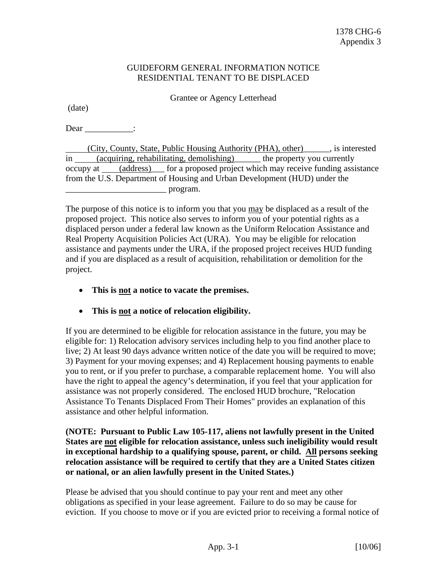## GUIDEFORM GENERAL INFORMATION NOTICE RESIDENTIAL TENANT TO BE DISPLACED

Grantee or Agency Letterhead

(date)

 $Dear$   $\qquad$  :

 (City, County, State, Public Housing Authority (PHA), other)\_\_\_\_\_\_, is interested in (acquiring, rehabilitating, demolishing) the property you currently occupy at (address)\_\_\_ for a proposed project which may receive funding assistance from the U.S. Department of Housing and Urban Development (HUD) under the \_\_\_\_\_\_\_\_\_\_\_\_\_\_\_\_\_\_\_\_\_\_\_ program.

The purpose of this notice is to inform you that you may be displaced as a result of the proposed project. This notice also serves to inform you of your potential rights as a displaced person under a federal law known as the Uniform Relocation Assistance and Real Property Acquisition Policies Act (URA). You may be eligible for relocation assistance and payments under the URA, if the proposed project receives HUD funding and if you are displaced as a result of acquisition, rehabilitation or demolition for the project.

- **This is not a notice to vacate the premises.**
- **This is not a notice of relocation eligibility.**

If you are determined to be eligible for relocation assistance in the future, you may be eligible for: 1) Relocation advisory services including help to you find another place to live; 2) At least 90 days advance written notice of the date you will be required to move; 3) Payment for your moving expenses; and 4) Replacement housing payments to enable you to rent, or if you prefer to purchase, a comparable replacement home. You will also have the right to appeal the agency's determination, if you feel that your application for assistance was not properly considered. The enclosed HUD brochure, "Relocation Assistance To Tenants Displaced From Their Homes" provides an explanation of this assistance and other helpful information.

## **(NOTE: Pursuant to Public Law 105-117, aliens not lawfully present in the United States are not eligible for relocation assistance, unless such ineligibility would result in exceptional hardship to a qualifying spouse, parent, or child. All persons seeking relocation assistance will be required to certify that they are a United States citizen or national, or an alien lawfully present in the United States.)**

Please be advised that you should continue to pay your rent and meet any other obligations as specified in your lease agreement. Failure to do so may be cause for eviction. If you choose to move or if you are evicted prior to receiving a formal notice of